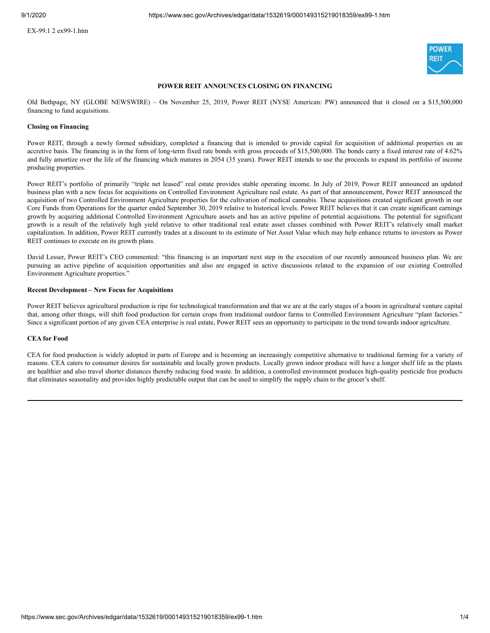

# **POWER REIT ANNOUNCES CLOSING ON FINANCING**

Old Bethpage, NY (GLOBE NEWSWIRE) – On November 25, 2019, Power REIT (NYSE American: PW) announced that it closed on a \$15,500,000 financing to fund acquisitions.

## **Closing on Financing**

Power REIT, through a newly formed subsidiary, completed a financing that is intended to provide capital for acquisition of additional properties on an accretive basis. The financing is in the form of long-term fixed rate bonds with gross proceeds of \$15,500,000. The bonds carry a fixed interest rate of 4.62% and fully amortize over the life of the financing which matures in 2054 (35 years). Power REIT intends to use the proceeds to expand its portfolio of income producing properties.

Power REIT's portfolio of primarily "triple net leased" real estate provides stable operating income. In July of 2019, Power REIT announced an updated business plan with a new focus for acquisitions on Controlled Environment Agriculture real estate. As part of that announcement, Power REIT announced the acquisition of two Controlled Environment Agriculture properties for the cultivation of medical cannabis. These acquisitions created significant growth in our Core Funds from Operations for the quarter ended September 30, 2019 relative to historical levels. Power REIT believes that it can create significant earnings growth by acquiring additional Controlled Environment Agriculture assets and has an active pipeline of potential acquisitions. The potential for significant growth is a result of the relatively high yield relative to other traditional real estate asset classes combined with Power REIT's relatively small market capitalization. In addition, Power REIT currently trades at a discount to its estimate of Net Asset Value which may help enhance returns to investors as Power REIT continues to execute on its growth plans.

David Lesser, Power REIT's CEO commented: "this financing is an important next step in the execution of our recently announced business plan. We are pursuing an active pipeline of acquisition opportunities and also are engaged in active discussions related to the expansion of our existing Controlled Environment Agriculture properties."

## **Recent Development – New Focus for Acquisitions**

Power REIT believes agricultural production is ripe for technological transformation and that we are at the early stages of a boom in agricultural venture capital that, among other things, will shift food production for certain crops from traditional outdoor farms to Controlled Environment Agriculture "plant factories." Since a significant portion of any given CEA enterprise is real estate, Power REIT sees an opportunity to participate in the trend towards indoor agriculture.

# **CEA for Food**

CEA for food production is widely adopted in parts of Europe and is becoming an increasingly competitive alternative to traditional farming for a variety of reasons. CEA caters to consumer desires for sustainable and locally grown products. Locally grown indoor produce will have a longer shelf life as the plants are healthier and also travel shorter distances thereby reducing food waste. In addition, a controlled environment produces high-quality pesticide free products that eliminates seasonality and provides highly predictable output that can be used to simplify the supply chain to the grocer's shelf.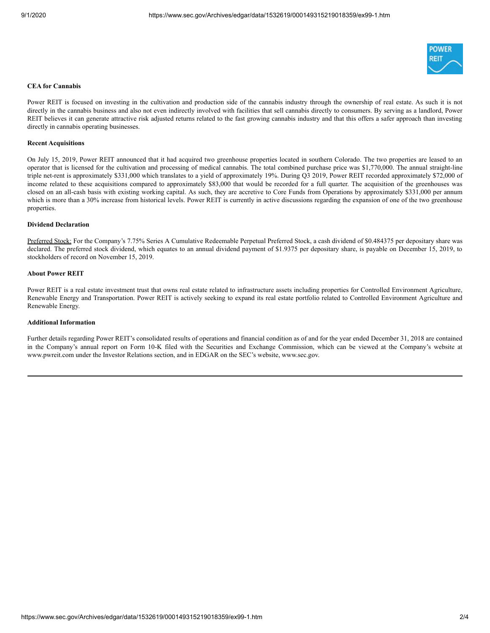

## **CEA for Cannabis**

Power REIT is focused on investing in the cultivation and production side of the cannabis industry through the ownership of real estate. As such it is not directly in the cannabis business and also not even indirectly involved with facilities that sell cannabis directly to consumers. By serving as a landlord, Power REIT believes it can generate attractive risk adjusted returns related to the fast growing cannabis industry and that this offers a safer approach than investing directly in cannabis operating businesses.

#### **Recent Acquisitions**

On July 15, 2019, Power REIT announced that it had acquired two greenhouse properties located in southern Colorado. The two properties are leased to an operator that is licensed for the cultivation and processing of medical cannabis. The total combined purchase price was \$1,770,000. The annual straight-line triple net-rent is approximately \$331,000 which translates to a yield of approximately 19%. During Q3 2019, Power REIT recorded approximately \$72,000 of income related to these acquisitions compared to approximately \$83,000 that would be recorded for a full quarter. The acquisition of the greenhouses was closed on an all-cash basis with existing working capital. As such, they are accretive to Core Funds from Operations by approximately \$331,000 per annum which is more than a 30% increase from historical levels. Power REIT is currently in active discussions regarding the expansion of one of the two greenhouse properties.

## **Dividend Declaration**

Preferred Stock: For the Company's 7.75% Series A Cumulative Redeemable Perpetual Preferred Stock, a cash dividend of \$0.484375 per depositary share was declared. The preferred stock dividend, which equates to an annual dividend payment of \$1.9375 per depositary share, is payable on December 15, 2019, to stockholders of record on November 15, 2019.

#### **About Power REIT**

Power REIT is a real estate investment trust that owns real estate related to infrastructure assets including properties for Controlled Environment Agriculture, Renewable Energy and Transportation. Power REIT is actively seeking to expand its real estate portfolio related to Controlled Environment Agriculture and Renewable Energy.

#### **Additional Information**

Further details regarding Power REIT's consolidated results of operations and financial condition as of and for the year ended December 31, 2018 are contained in the Company's annual report on Form 10-K filed with the Securities and Exchange Commission, which can be viewed at the Company's website at www.pwreit.com under the Investor Relations section, and in EDGAR on the SEC's website, www.sec.gov.